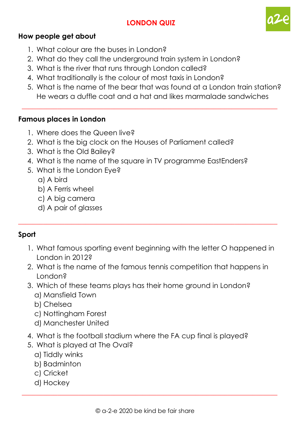# **LONDON QUIZ**



### **How people get about**

- 1. What colour are the buses in London?
- 2. What do they call the underground train system in London?
- 3. What is the river that runs through London called?
- 4. What traditionally is the colour of most taxis in London?
- 5. What is the name of the bear that was found at a London train station? He wears a duffle coat and a hat and likes marmalade sandwiches

 $\_$  , and the set of the set of the set of the set of the set of the set of the set of the set of the set of the set of the set of the set of the set of the set of the set of the set of the set of the set of the set of th

#### **Famous places in London**

- 1. Where does the Queen live?
- 2. What is the big clock on the Houses of Parliament called?
- 3. What is the Old Bailey?
- 4. What is the name of the square in TV programme EastEnders?
- 5. What is the London Eye?
	- a) A bird
	- b) A Ferris wheel
	- c) A big camera
	- d) A pair of glasses

### **Sport**

1. What famous sporting event beginning with the letter O happened in London in 2012?

\_\_\_\_\_\_\_\_\_\_\_\_\_\_\_\_\_\_\_\_\_\_\_\_\_\_\_\_\_\_\_\_\_\_\_\_\_\_\_\_\_\_\_\_\_\_\_\_\_\_\_\_\_\_\_\_\_\_\_\_\_\_\_\_\_\_\_\_\_\_\_\_\_

- 2. What is the name of the famous tennis competition that happens in London?
- 3. Which of these teams plays has their home ground in London? a) Mansfield Town
	- b) Chelsea
	- c) Nottingham Forest
	- d) Manchester United
- 4. What is the football stadium where the FA cup final is played?
- 5. What is played at The Oval?
	- a) Tiddly winks
	- b) Badminton
	- c) Cricket
	- d) Hockey

 $\_$  , and the set of the set of the set of the set of the set of the set of the set of the set of the set of the set of the set of the set of the set of the set of the set of the set of the set of the set of the set of th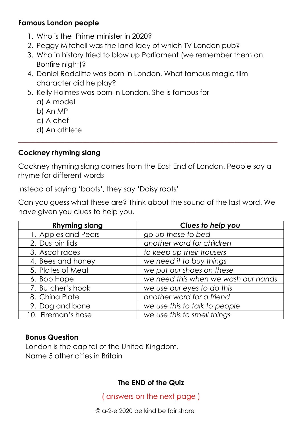# **Famous London people**

- 1. Who is the Prime minister in 2020?
- 2. Peggy Mitchell was the land lady of which TV London pub?
- 3. Who in history tried to blow up Parliament (we remember them on Bonfire night)?
- 4. Daniel Radcliffe was born in London. What famous magic film character did he play?
- 5. Kelly Holmes was born in London. She is famous for
	- a) A model
	- b) An MP
	- c) A chef
	- d) An athlete

# **Cockney rhyming slang**

Cockney rhyming slang comes from the East End of London. People say a rhyme for different words

\_\_\_\_\_\_\_\_\_\_\_\_\_\_\_\_\_\_\_\_\_\_\_\_\_\_\_\_\_\_\_\_\_\_\_\_\_\_\_\_\_\_\_\_\_\_\_\_\_\_\_\_\_\_\_\_\_\_\_\_\_\_\_\_\_\_\_\_\_\_\_\_\_

Instead of saying 'boots', they say 'Daisy roots'

Can you guess what these are? Think about the sound of the last word. We have given you clues to help you.

| <b>Rhyming slang</b> | Clues to help you                   |
|----------------------|-------------------------------------|
| 1. Apples and Pears  | go up these to bed                  |
| 2. Dustbin lids      | another word for children           |
| 3. Ascot races       | to keep up their trousers           |
| 4. Bees and honey    | we need it to buy things            |
| 5. Plates of Meat    | we put our shoes on these           |
| 6. Bob Hope          | we need this when we wash our hands |
| 7. Butcher's hook    | we use our eyes to do this          |
| 8. China Plate       | another word for a friend           |
| 9. Dog and bone      | we use this to talk to people       |
| 10. Fireman's hose   | we use this to smell things         |

# **Bonus Question**

London is the capital of the United Kingdom. Name 5 other cities in Britain

# **The END of the Quiz**

( answers on the next page )

© a-2-e 2020 be kind be fair share